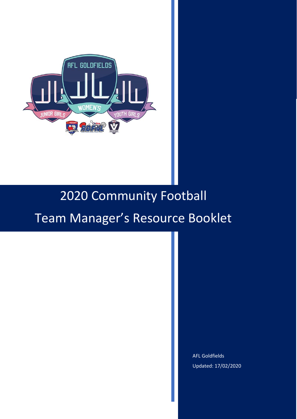

# 2020 Community Football

# Team Manager's Resource Booklet

AFL Goldfields Updated: 17/02/2020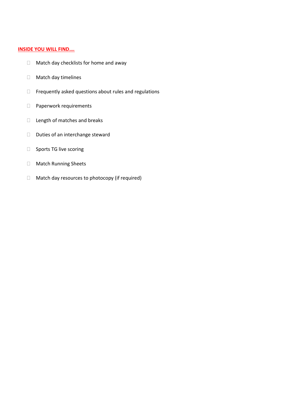#### **INSIDE YOU WILL FIND….**

- □ Match day checklists for home and away
- Match day timelines
- $\Box$  Frequently asked questions about rules and regulations
- D Paperwork requirements
- $\Box$  Length of matches and breaks
- D Duties of an interchange steward
- □ Sports TG live scoring
- Match Running Sheets
- □ Match day resources to photocopy (if required)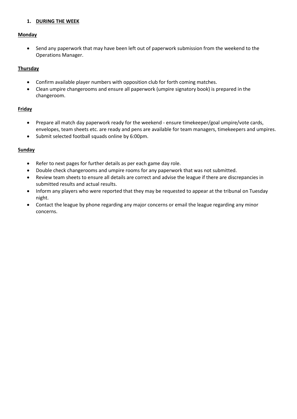# **1. DURING THE WEEK**

#### **Monday**

• Send any paperwork that may have been left out of paperwork submission from the weekend to the Operations Manager.

# **Thursday**

- Confirm available player numbers with opposition club for forth coming matches.
- Clean umpire changerooms and ensure all paperwork (umpire signatory book) is prepared in the changeroom.

#### **Friday**

- Prepare all match day paperwork ready for the weekend ensure timekeeper/goal umpire/vote cards, envelopes, team sheets etc. are ready and pens are available for team managers, timekeepers and umpires.
- Submit selected football squads online by 6:00pm.

#### **Sunday**

- Refer to next pages for further details as per each game day role.
- Double check changerooms and umpire rooms for any paperwork that was not submitted.
- Review team sheets to ensure all details are correct and advise the league if there are discrepancies in submitted results and actual results.
- Inform any players who were reported that they may be requested to appear at the tribunal on Tuesday night.
- Contact the league by phone regarding any major concerns or email the league regarding any minor concerns.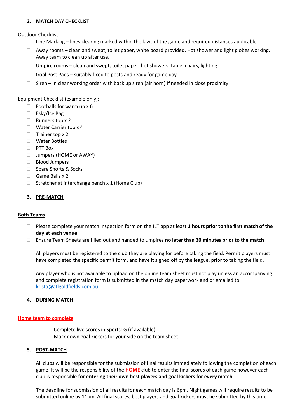# **2. MATCH DAY CHECKLIST**

Outdoor Checklist:

- $\Box$  Line Marking lines clearing marked within the laws of the game and required distances applicable
- $\Box$  Away rooms clean and swept, toilet paper, white board provided. Hot shower and light globes working. Away team to clean up after use.
- $\Box$  Umpire rooms clean and swept, toilet paper, hot showers, table, chairs, lighting
- $\Box$  Goal Post Pads suitably fixed to posts and ready for game day
- $\Box$  Siren in clear working order with back up siren (air horn) if needed in close proximity

Equipment Checklist (example only):

- $\Box$  Footballs for warm up x 6
- □ Esky/Ice Bag
- $\Box$  Runners top x 2
- □ Water Carrier top x 4
- $\Box$  Trainer top x 2
- Water Bottles
- PTT Box
- □ Jumpers (HOME or AWAY)
- □ Blood Jumpers
- □ Spare Shorts & Socks
- $\Box$  Game Balls x 2
- $\Box$  Stretcher at interchange bench x 1 (Home Club)

#### **3. PRE-MATCH**

#### **Both Teams**

- Please complete your match inspection form on the JLT app at least **1 hours prior to the first match of the day at each venue**
- Ensure Team Sheets are filled out and handed to umpires **no later than 30 minutes prior to the match**

All players must be registered to the club they are playing for before taking the field. Permit players must have completed the specific permit form, and have it signed off by the league, prior to taking the field.

Any player who is not available to upload on the online team sheet must not play unless an accompanying and complete registration form is submitted in the match day paperwork and or emailed to [krista@aflgoldfields.com.au](mailto:krista@aflgoldfields.com.au)

#### **4. DURING MATCH**

#### **Home team to complete**

- $\Box$  Complete live scores in SportsTG (if available)
- $\Box$  Mark down goal kickers for your side on the team sheet

#### **5. POST-MATCH**

All clubs will be responsible for the submission of final results immediately following the completion of each game. It will be the responsibility of the **HOME** club to enter the final scores of each game however each club is responsible **for entering their own best players and goal kickers for every match**.

The deadline for submission of all results for each match day is 6pm. Night games will require results to be submitted online by 11pm. All final scores, best players and goal kickers must be submitted by this time.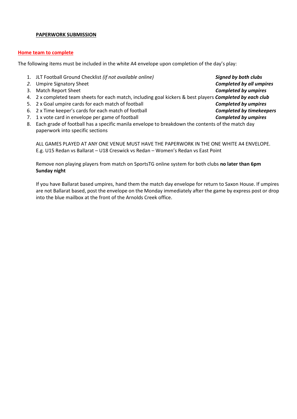#### **PAPERWORK SUBMISSION**

#### **Home team to complete**

The following items must be included in the white A4 envelope upon completion of the day's play:

- 1. JLT Football Ground Checklist *(if not available online) Signed by both clubs 2.* Umpire Signatory Sheet *Completed by all umpires* 3. Match Report Sheet *Completed by umpires* 4. 2 x completed team sheets for each match, including goal kickers & best players *Completed by each club* 5. 2 x Goal umpire cards for each match of football *Completed by umpires* 6. 2 x Time keeper's cards for each match of football *Completed by timekeepers* 7. 1 x vote card in envelope per game of football *Completed by umpires*
- 8. Each grade of football has a specific manila envelope to breakdown the contents of the match day paperwork into specific sections

ALL GAMES PLAYED AT ANY ONE VENUE MUST HAVE THE PAPERWORK IN THE ONE WHITE A4 ENVELOPE. E.g. U15 Redan vs Ballarat – U18 Creswick vs Redan – Women's Redan vs East Point

Remove non playing players from match on SportsTG online system for both clubs **no later than 6pm Sunday night**

If you have Ballarat based umpires, hand them the match day envelope for return to Saxon House. If umpires are not Ballarat based, post the envelope on the Monday immediately after the game by express post or drop into the blue mailbox at the front of the Arnolds Creek office.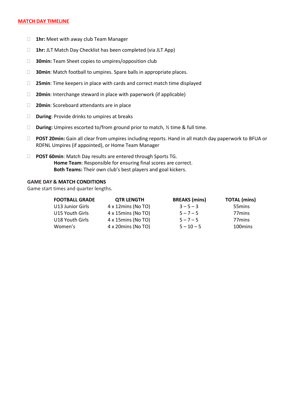#### **MATCH DAY TIMELINE**

- **1hr:** Meet with away club Team Manager
- **1hr:** JLT Match Day Checklist has been completed (via JLT App)
- **30min:** Team Sheet copies to umpires/opposition club
- **30min**: Match football to umpires. Spare balls in appropriate places.
- **25min**: Time keepers in place with cards and correct match time displayed
- **20min**: Interchange steward in place with paperwork (if applicable)
- **20min**: Scoreboard attendants are in place
- **During**: Provide drinks to umpires at breaks
- □ **During:** Umpires escorted to/from ground prior to match, ½ time & full time.
- **POST 20min:** Gain all clear from umpires including reports. Hand in all match day paperwork to BFUA or RDFNL Umpires (if appointed), or Home Team Manager
- **POST 60min**: Match Day results are entered through Sports TG. **Home Team**: Responsible for ensuring final scores are correct. **Both Teams:** Their own club's best players and goal kickers.

#### **GAME DAY & MATCH CONDITIONS**

Game start times and quarter lengths.

| <b>FOOTBALL GRADE</b> | <b>QTR LENGTH</b>          | <b>BREAKS</b> (mins) | <b>TOTAL</b> (mins) |
|-----------------------|----------------------------|----------------------|---------------------|
| U13 Junior Girls      | $4 \times 12$ mins (No TO) | $3 - 5 - 3$          | 55 mins             |
| U15 Youth Girls       | 4 x 15mins (No TO)         | $5 - 7 - 5$          | 77 <sub>mins</sub>  |
| U18 Youth Girls       | 4 x 15mins (No TO)         | $5 - 7 - 5$          | 77 <sub>mins</sub>  |
| Women's               | 4 x 20mins (No TO)         | $5 - 10 - 5$         | 100 mins            |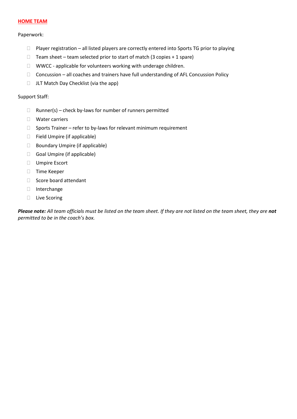#### **HOME TEAM**

#### Paperwork:

- $\Box$  Player registration all listed players are correctly entered into Sports TG prior to playing
- $\Box$  Team sheet team selected prior to start of match (3 copies + 1 spare)
- WWCC applicable for volunteers working with underage children.
- $\Box$  Concussion all coaches and trainers have full understanding of AFL Concussion Policy
- $\Box$  JLT Match Day Checklist (via the app)

#### Support Staff:

- $\Box$  Runner(s) check by-laws for number of runners permitted
- Water carriers
- $\Box$  Sports Trainer refer to by-laws for relevant minimum requirement
- □ Field Umpire (if applicable)
- □ Boundary Umpire (if applicable)
- Goal Umpire (if applicable)
- Umpire Escort
- □ Time Keeper
- $\Box$  Score board attendant
- Interchange
- □ Live Scoring

*Please note: All team officials must be listed on the team sheet. If they are not listed on the team sheet, they are not permitted to be in the coach's box.*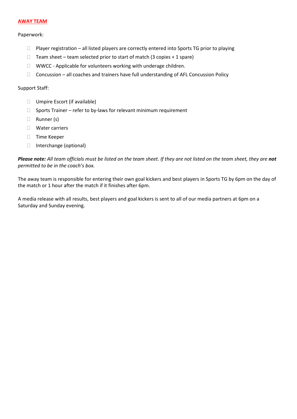#### **AWAY TEAM**

#### Paperwork:

- $\Box$  Player registration all listed players are correctly entered into Sports TG prior to playing
- $\Box$  Team sheet team selected prior to start of match (3 copies + 1 spare)
- $\Box$  WWCC Applicable for volunteers working with underage children.
- $\Box$  Concussion all coaches and trainers have full understanding of AFL Concussion Policy

#### Support Staff:

- □ Umpire Escort (if available)
- $\Box$  Sports Trainer refer to by-laws for relevant minimum requirement
- □ Runner (s)
- Water carriers
- □ Time Keeper
- □ Interchange (optional)

*Please note: All team officials must be listed on the team sheet. If they are not listed on the team sheet, they are not permitted to be in the coach's box.* 

The away team is responsible for entering their own goal kickers and best players in Sports TG by 6pm on the day of the match or 1 hour after the match if it finishes after 6pm.

A media release with all results, best players and goal kickers is sent to all of our media partners at 6pm on a Saturday and Sunday evening.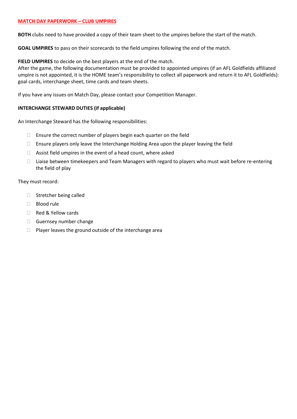#### **MATCH DAY PAPERWORK – CLUB UMPIRES**

**BOTH** clubs need to have provided a copy of their team sheet to the umpires before the start of the match.

**GOAL UMPIRES** to pass on their scorecards to the field umpires following the end of the match.

**FIELD UMPIRES** to decide on the best players at the end of the match.

After the game, the following documentation must be provided to appointed umpires (if an AFL Goldfields affiliated umpire is not appointed, it is the HOME team's responsibility to collect all paperwork and return it to AFL Goldfields): goal cards, interchange sheet, time cards and team sheets.

If you have any issues on Match Day, please contact your Competition Manager.

#### **INTERCHANGE STEWARD DUTIES (if applicable)**

An Interchange Steward has the following responsibilities:

- $\Box$  Ensure the correct number of players begin each quarter on the field
- $\Box$  Ensure players only leave the Interchange Holding Area upon the player leaving the field
- $\Box$  Assist field umpires in the event of a head count, where asked
- □ Liaise between timekeepers and Team Managers with regard to players who must wait before re-entering the field of play

They must record:

- $\Box$  Stretcher being called
- □ Blood rule
- Red & Yellow cards
- Guernsey number change
- $\Box$  Player leaves the ground outside of the interchange area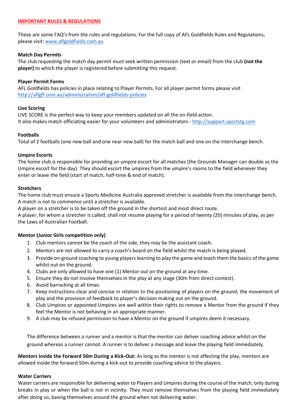#### **IMPORTANT RULES & REGULATIONS**

These are some FAQ's from the rules and regulations. For the full copy of AFL Goldfields Rules and Regulations, please visit[: www.aflgoldfields.com.au](http://www.aflgoldfields.com.au/)

#### **Match Day Permits**

The club requesting the match day permit must seek written permission (text or email) from the club **(not the player)** to which the player is registered before submitting this request.

#### **Player Permit Forms**

AFL Goldfields has policies in place relating to Player Permits. For all player permit forms please visit <http://aflgff.com.au/administration/afl-goldfields-policies>

#### **Live Scoring**

LIVE SCORE is the perfect way to keep your members updated on all the on-field action. It also makes match officiating easier for your volunteers and administrators - [http://support.sportstg.com](http://support.sportstg.com/)

#### **Footballs**

Total of 2 footballs (one new ball and one near new ball) for the match ball and one on the interchange bench.

#### **Umpire Escorts**

The home club is responsible for providing an umpire escort for all matches (the Grounds Manager can double as the Umpire escort for the day). They should escort the umpires from the umpire's rooms to the field whenever they enter or leave the field (start of match, half-time & end of match).

#### **Stretchers**

The home club must ensure a Sports Medicine Australia approved stretcher is available from the interchange bench. A match is not to commence until a stretcher is available.

A player on a stretcher is to be taken off the ground in the shortest and most direct route.

A player, for whom a stretcher is called, shall not resume playing for a period of twenty (20) minutes of play, as per the Laws of Australian Football.

# **Mentor (Junior Girls competition only)**

- 1. Club mentors cannot be the coach of the side, they may be the assistant coach.
- 2. Mentors are not allowed to carry a coach's board on the field whilst the match is being played.
- 3. Provide on-ground coaching to young players learning to play the game and teach them the basics of the game whilst out on the ground.
- 4. Clubs are only allowed to have one (1) Mentor out on the ground at any time.
- 5. Ensure they do not involve themselves in the play at any stage (30m from direct contest).
- 6. Avoid barracking at all times.
- 7. Keep instructions clear and concise in relation to the positioning of players on the ground, the movement of play and the provision of feedback to player's decision making out on the ground.
- 8. Club Umpires or appointed Umpires are well within their rights to remove a Mentor from the ground if they feel the Mentor is not behaving in an appropriate manner.
- 9. A club may be refused permission to have a Mentor on the ground if umpires deem it necessary.

The difference between a runner and a mentor is that the mentor can deliver coaching advice whilst on the ground whereas a runner cannot. A runner is to deliver a message and leave the playing field immediately.

**Mentors Inside the Forward 50m During a Kick-Out:** As long as the mentor is not affecting the play, mentors are allowed inside the forward 50m during a kick-out to provide coaching advice to the players.

#### **Water Carriers**

Water carriers are responsible for delivering water to Players and Umpires during the course of the match, only during breaks in play or when the ball is not in vicinity. They must remove themselves from the playing field immediately after doing so, basing themselves around the ground when not delivering water.